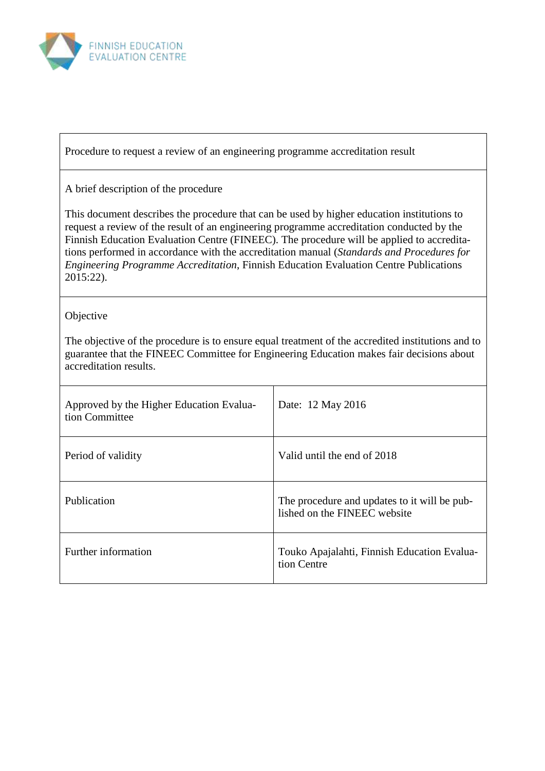

Procedure to request a review of an engineering programme accreditation result

### A brief description of the procedure

This document describes the procedure that can be used by higher education institutions to request a review of the result of an engineering programme accreditation conducted by the Finnish Education Evaluation Centre (FINEEC). The procedure will be applied to accreditations performed in accordance with the accreditation manual (*Standards and Procedures for Engineering Programme Accreditation*, Finnish Education Evaluation Centre Publications 2015:22).

### **Objective**

The objective of the procedure is to ensure equal treatment of the accredited institutions and to guarantee that the FINEEC Committee for Engineering Education makes fair decisions about accreditation results.

| Approved by the Higher Education Evalua-<br>tion Committee | Date: 12 May 2016                                                            |
|------------------------------------------------------------|------------------------------------------------------------------------------|
| Period of validity                                         | Valid until the end of 2018                                                  |
| Publication                                                | The procedure and updates to it will be pub-<br>lished on the FINEEC website |
| Further information                                        | Touko Apajalahti, Finnish Education Evalua-<br>tion Centre                   |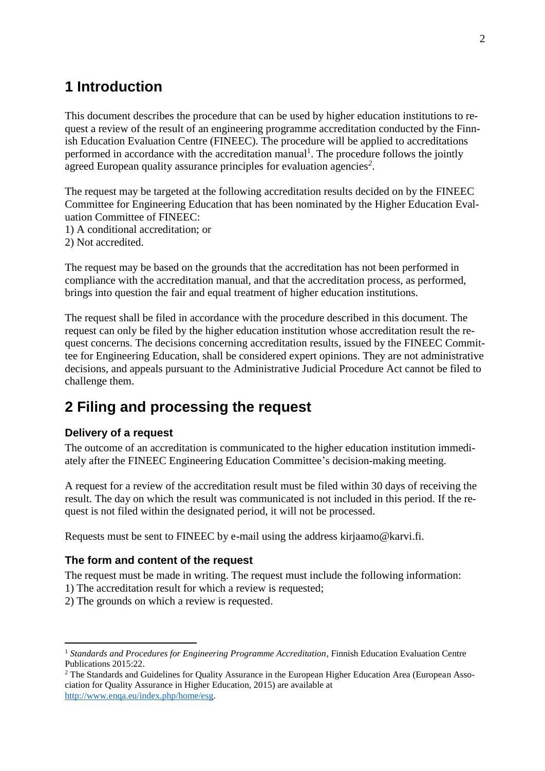# **1 Introduction**

This document describes the procedure that can be used by higher education institutions to request a review of the result of an engineering programme accreditation conducted by the Finnish Education Evaluation Centre (FINEEC). The procedure will be applied to accreditations performed in accordance with the accreditation manual<sup>1</sup>. The procedure follows the jointly agreed European quality assurance principles for evaluation agencies*<sup>2</sup>* .

The request may be targeted at the following accreditation results decided on by the FINEEC Committee for Engineering Education that has been nominated by the Higher Education Evaluation Committee of FINEEC:

- 1) A conditional accreditation; or
- 2) Not accredited.

The request may be based on the grounds that the accreditation has not been performed in compliance with the accreditation manual, and that the accreditation process, as performed, brings into question the fair and equal treatment of higher education institutions.

The request shall be filed in accordance with the procedure described in this document. The request can only be filed by the higher education institution whose accreditation result the request concerns. The decisions concerning accreditation results, issued by the FINEEC Committee for Engineering Education, shall be considered expert opinions. They are not administrative decisions, and appeals pursuant to the Administrative Judicial Procedure Act cannot be filed to challenge them.

# **2 Filing and processing the request**

## **Delivery of a request**

 $\overline{a}$ 

The outcome of an accreditation is communicated to the higher education institution immediately after the FINEEC Engineering Education Committee's decision-making meeting.

A request for a review of the accreditation result must be filed within 30 days of receiving the result. The day on which the result was communicated is not included in this period. If the request is not filed within the designated period, it will not be processed.

Requests must be sent to FINEEC by e-mail using the address [kirjaamo@karvi.fi.](mailto:kirjaamo@karvi.fi)

#### **The form and content of the request**

The request must be made in writing. The request must include the following information:

- 1) The accreditation result for which a review is requested;
- 2) The grounds on which a review is requested.

<sup>&</sup>lt;sup>1</sup> Standards and Procedures for Engineering Programme Accreditation, Finnish Education Evaluation Centre Publications 2015:22.

<sup>&</sup>lt;sup>2</sup> The Standards and Guidelines for Quality Assurance in the European Higher Education Area (European Association for Quality Assurance in Higher Education, 2015) are available at [http://www.enqa.eu/index.php/home/esg.](http://www.enqa.eu/index.php/home/esg)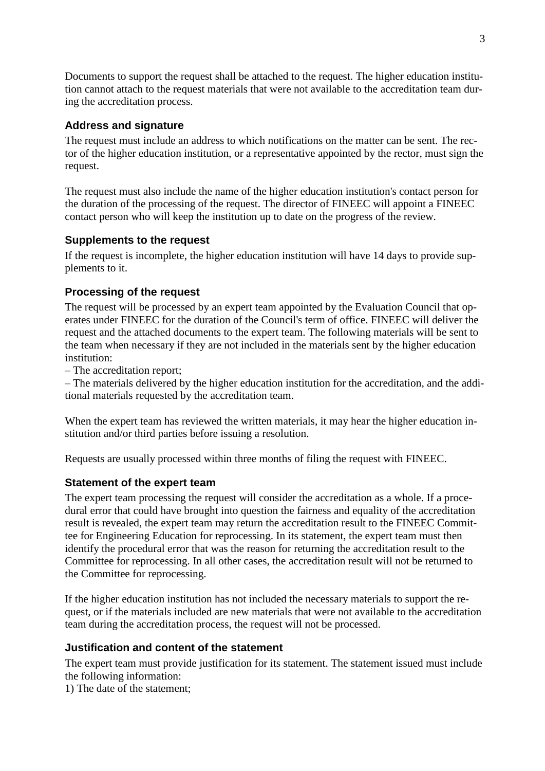Documents to support the request shall be attached to the request. The higher education institution cannot attach to the request materials that were not available to the accreditation team during the accreditation process.

# **Address and signature**

The request must include an address to which notifications on the matter can be sent. The rector of the higher education institution, or a representative appointed by the rector, must sign the request.

The request must also include the name of the higher education institution's contact person for the duration of the processing of the request. The director of FINEEC will appoint a FINEEC contact person who will keep the institution up to date on the progress of the review.

## **Supplements to the request**

If the request is incomplete, the higher education institution will have 14 days to provide supplements to it.

# **Processing of the request**

The request will be processed by an expert team appointed by the Evaluation Council that operates under FINEEC for the duration of the Council's term of office. FINEEC will deliver the request and the attached documents to the expert team. The following materials will be sent to the team when necessary if they are not included in the materials sent by the higher education institution<sup>.</sup>

– The accreditation report;

– The materials delivered by the higher education institution for the accreditation, and the additional materials requested by the accreditation team.

When the expert team has reviewed the written materials, it may hear the higher education institution and/or third parties before issuing a resolution.

Requests are usually processed within three months of filing the request with FINEEC.

## **Statement of the expert team**

The expert team processing the request will consider the accreditation as a whole. If a procedural error that could have brought into question the fairness and equality of the accreditation result is revealed, the expert team may return the accreditation result to the FINEEC Committee for Engineering Education for reprocessing. In its statement, the expert team must then identify the procedural error that was the reason for returning the accreditation result to the Committee for reprocessing. In all other cases, the accreditation result will not be returned to the Committee for reprocessing.

If the higher education institution has not included the necessary materials to support the request, or if the materials included are new materials that were not available to the accreditation team during the accreditation process, the request will not be processed.

## **Justification and content of the statement**

The expert team must provide justification for its statement. The statement issued must include the following information:

1) The date of the statement;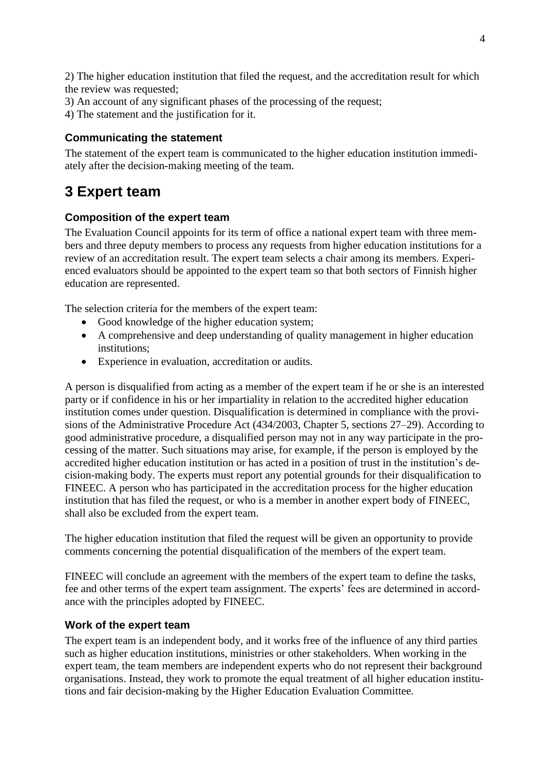2) The higher education institution that filed the request, and the accreditation result for which the review was requested;

3) An account of any significant phases of the processing of the request;

4) The statement and the justification for it.

## **Communicating the statement**

The statement of the expert team is communicated to the higher education institution immediately after the decision-making meeting of the team.

# **3 Expert team**

## **Composition of the expert team**

The Evaluation Council appoints for its term of office a national expert team with three members and three deputy members to process any requests from higher education institutions for a review of an accreditation result. The expert team selects a chair among its members. Experienced evaluators should be appointed to the expert team so that both sectors of Finnish higher education are represented.

The selection criteria for the members of the expert team:

- Good knowledge of the higher education system;
- A comprehensive and deep understanding of quality management in higher education institutions;
- Experience in evaluation, accreditation or audits.

A person is disqualified from acting as a member of the expert team if he or she is an interested party or if confidence in his or her impartiality in relation to the accredited higher education institution comes under question. Disqualification is determined in compliance with the provisions of the Administrative Procedure Act (434/2003, Chapter 5, sections 27–29). According to good administrative procedure, a disqualified person may not in any way participate in the processing of the matter. Such situations may arise, for example, if the person is employed by the accredited higher education institution or has acted in a position of trust in the institution's decision-making body. The experts must report any potential grounds for their disqualification to FINEEC. A person who has participated in the accreditation process for the higher education institution that has filed the request, or who is a member in another expert body of FINEEC, shall also be excluded from the expert team.

The higher education institution that filed the request will be given an opportunity to provide comments concerning the potential disqualification of the members of the expert team.

FINEEC will conclude an agreement with the members of the expert team to define the tasks, fee and other terms of the expert team assignment. The experts' fees are determined in accordance with the principles adopted by FINEEC.

#### **Work of the expert team**

The expert team is an independent body, and it works free of the influence of any third parties such as higher education institutions, ministries or other stakeholders. When working in the expert team, the team members are independent experts who do not represent their background organisations. Instead, they work to promote the equal treatment of all higher education institutions and fair decision-making by the Higher Education Evaluation Committee.